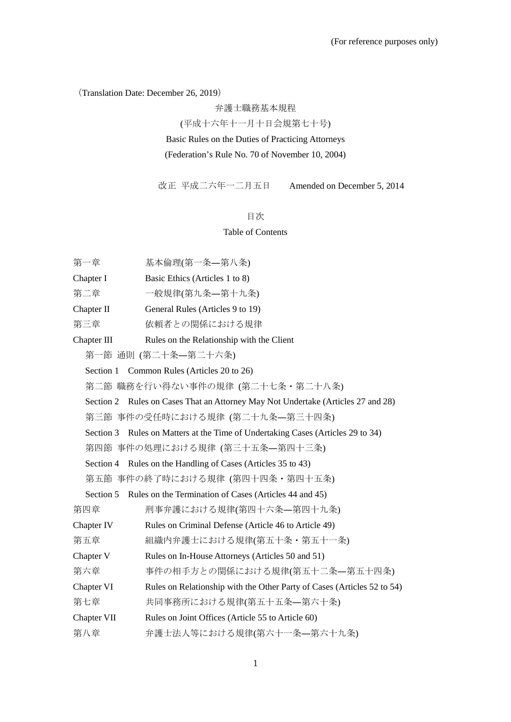(Translation Date: December 26, 2019)

弁護士職務基本規程

(平成十六年十一月十日会規第七十号)

Basic Rules on the Duties of Practicing Attorneys

(Federation's Rule No. 70 of November 10, 2004)

改正 平成二六年一二月五日 Amended on December 5, 2014

#### 目次

# Table of Contents

- 第一章 基本倫理(第一条—第八条)
- Chapter I Basic Ethics (Articles 1 to 8)

第二章 一般規律(第九条―第十九条)

Chapter II General Rules (Articles 9 to 19)

第三章 依頼者との関係における規律

Chapter III Rules on the Relationship with the Client

第一節 通則 (第二十条―第二十六条)

Section 1 Common Rules (Articles 20 to 26)

第二節 職務を行い得ない事件の規律 (第二十七条・第二十八条)

Section 2 Rules on Cases That an Attorney May Not Undertake (Articles 27 and 28)

第三節 事件の受任時における規律 (第二十九条―第三十四条)

Section 3 Rules on Matters at the Time of Undertaking Cases (Articles 29 to 34)

第四節 事件の処理における規律 (第三十五条―第四十三条)

Section 4 Rules on the Handling of Cases (Articles 35 to 43)

第五節 事件の終了時における規律 (第四十四条・第四十五条)

Section 5 Rules on the Termination of Cases (Articles 44 and 45)

- 第四章 アントリ事弁護における規律(第四十六条–第四十九条)
- Chapter IV Rules on Criminal Defense (Article 46 to Article 49)
- 第五章 アンドン組織内弁護士における規律(第五十条・第五十一条)
- Chapter V Rules on In-House Attorneys (Articles 50 and 51)
- 第六章 事件の相手方との関係における規律(第五十二条–第五十四条)
- Chapter VI Rules on Relationship with the Other Party of Cases (Articles 52 to 54)
- 第七章 共同事務所における規律(第五十五条―第六十条)
- Chapter VII Rules on Joint Offices (Article 55 to Article 60)
- 第八章 弁護士法人等における規律(第六十一条―第六十九条)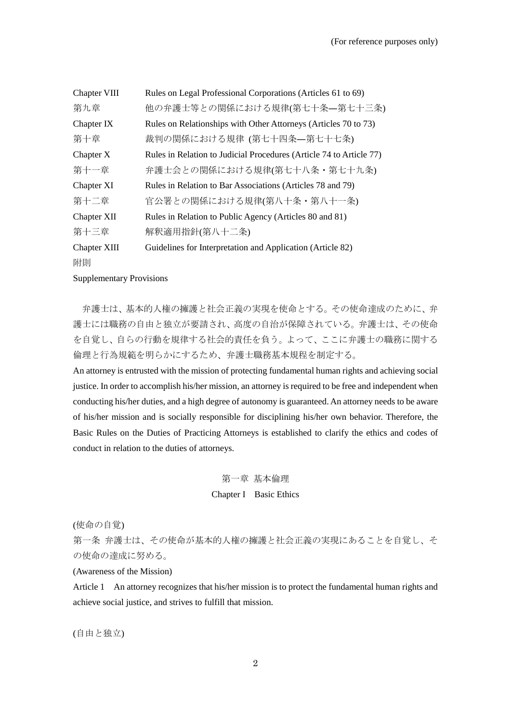| Chapter VIII        | Rules on Legal Professional Corporations (Articles 61 to 69)        |  |  |
|---------------------|---------------------------------------------------------------------|--|--|
| 第九章                 | 他の弁護士等との関係における規律(第七十条–第七十三条)                                        |  |  |
| Chapter IX          | Rules on Relationships with Other Attorneys (Articles 70 to 73)     |  |  |
| 第十章                 | 裁判の関係における規律 (第七十四条—第七十七条)                                           |  |  |
| Chapter X           | Rules in Relation to Judicial Procedures (Article 74 to Article 77) |  |  |
| 第十一章                | 弁護士会との関係における規律(第七十八条・第七十九条)                                         |  |  |
| Chapter XI          | Rules in Relation to Bar Associations (Articles 78 and 79)          |  |  |
| 第十二章                | 官公署との関係における規律(第八十条・第八十一条)                                           |  |  |
| <b>Chapter XII</b>  | Rules in Relation to Public Agency (Articles 80 and 81)             |  |  |
| 第十三章                | 解釈適用指針(第八十二条)                                                       |  |  |
| <b>Chapter XIII</b> | Guidelines for Interpretation and Application (Article 82)          |  |  |
| 附則                  |                                                                     |  |  |

Supplementary Provisions

弁護士は、基本的人権の擁護と社会正義の実現を使命とする。その使命達成のために、弁 護士には職務の自由と独立が要請され、高度の自治が保障されている。弁護士は、その使命 を自覚し、自らの行動を規律する社会的責任を負う。よって、ここに弁護士の職務に関する 倫理と行為規範を明らかにするため、弁護士職務基本規程を制定する。

An attorney is entrusted with the mission of protecting fundamental human rights and achieving social justice. In order to accomplish his/her mission, an attorney is required to be free and independent when conducting his/her duties, and a high degree of autonomy is guaranteed. An attorney needs to be aware of his/her mission and is socially responsible for disciplining his/her own behavior. Therefore, the Basic Rules on the Duties of Practicing Attorneys is established to clarify the ethics and codes of conduct in relation to the duties of attorneys.

> 第一章 基本倫理 Chapter I Basic Ethics

(使命の自覚)

第一条 弁護士は、その使命が基本的人権の擁護と社会正義の実現にあることを自覚し、そ の使命の達成に努める。

(Awareness of the Mission)

Article 1 An attorney recognizes that his/her mission is to protect the fundamental human rights and achieve social justice, and strives to fulfill that mission.

(自由と独立)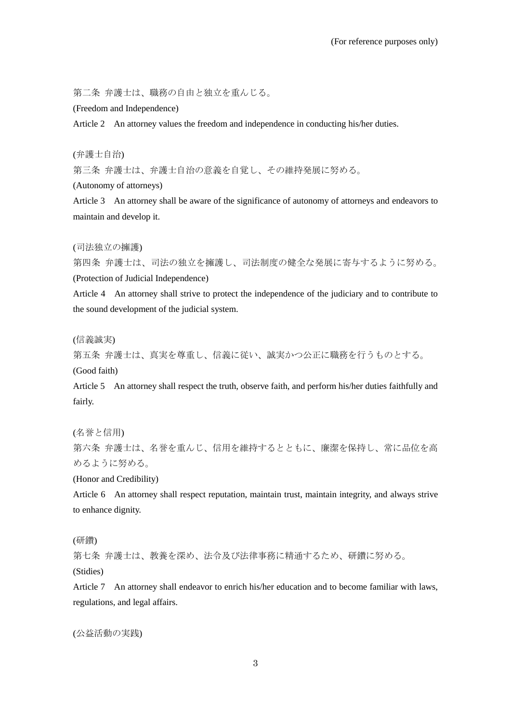第二条 弁護士は、職務の自由と独立を重んじる。

(Freedom and Independence)

Article 2 An attorney values the freedom and independence in conducting his/her duties.

(弁護士自治)

第三条 弁護士は、弁護士自治の意義を自覚し、その維持発展に努める。

(Autonomy of attorneys)

Article 3 An attorney shall be aware of the significance of autonomy of attorneys and endeavors to maintain and develop it.

## (司法独立の擁護)

第四条 弁護士は、司法の独立を擁護し、司法制度の健全な発展に寄与するように努める。 (Protection of Judicial Independence)

Article 4 An attorney shall strive to protect the independence of the judiciary and to contribute to the sound development of the judicial system.

## (信義誠実)

第五条 弁護士は、真実を尊重し、信義に従い、誠実かつ公正に職務を行うものとする。 (Good faith)

Article 5 An attorney shall respect the truth, observe faith, and perform his/her duties faithfully and fairly.

(名誉と信用)

第六条 弁護士は、名誉を重んじ、信用を維持するとともに、廉潔を保持し、常に品位を高 めるように努める。

(Honor and Credibility)

Article 6 An attorney shall respect reputation, maintain trust, maintain integrity, and always strive to enhance dignity.

## (研鑽)

第七条 弁護士は、教養を深め、法令及び法律事務に精通するため、研鑽に努める。

(Stidies)

Article 7 An attorney shall endeavor to enrich his/her education and to become familiar with laws, regulations, and legal affairs.

(公益活動の実践)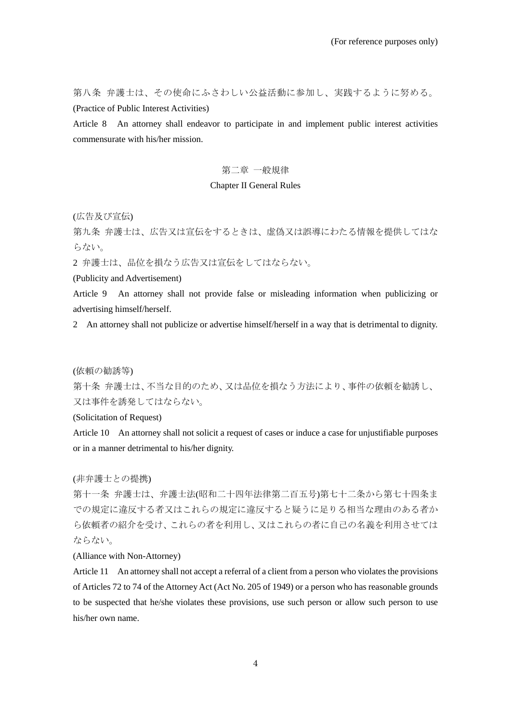第八条 弁護士は、その使命にふさわしい公益活動に参加し、実践するように努める。 (Practice of Public Interest Activities)

Article 8 An attorney shall endeavor to participate in and implement public interest activities commensurate with his/her mission.

# 第二章 一般規律

# Chapter II General Rules

## (広告及び宣伝)

第九条 弁護士は、広告又は宣伝をするときは、虚偽又は誤導にわたる情報を提供してはな らない。

2 弁護士は、品位を損なう広告又は宣伝をしてはならない。

(Publicity and Advertisement)

Article 9 An attorney shall not provide false or misleading information when publicizing or advertising himself/herself.

2 An attorney shall not publicize or advertise himself/herself in a way that is detrimental to dignity.

# (依頼の勧誘等)

第十条 弁護士は、不当な目的のため、又は品位を損なう方法により、事件の依頼を勧誘し、 又は事件を誘発してはならない。

(Solicitation of Request)

Article 10 An attorney shall not solicit a request of cases or induce a case for unjustifiable purposes or in a manner detrimental to his/her dignity.

## (非弁護士との提携)

第十一条 弁護士は、弁護士法(昭和二十四年法律第二百五号)第七十二条から第七十四条ま での規定に違反する者又はこれらの規定に違反すると疑うに足りる相当な理由のある者か ら依頼者の紹介を受け、これらの者を利用し、又はこれらの者に自己の名義を利用させては ならない。

# (Alliance with Non-Attorney)

Article 11 An attorney shall not accept a referral of a client from a person who violates the provisions of Articles 72 to 74 of the Attorney Act (Act No. 205 of 1949) or a person who has reasonable grounds to be suspected that he/she violates these provisions, use such person or allow such person to use his/her own name.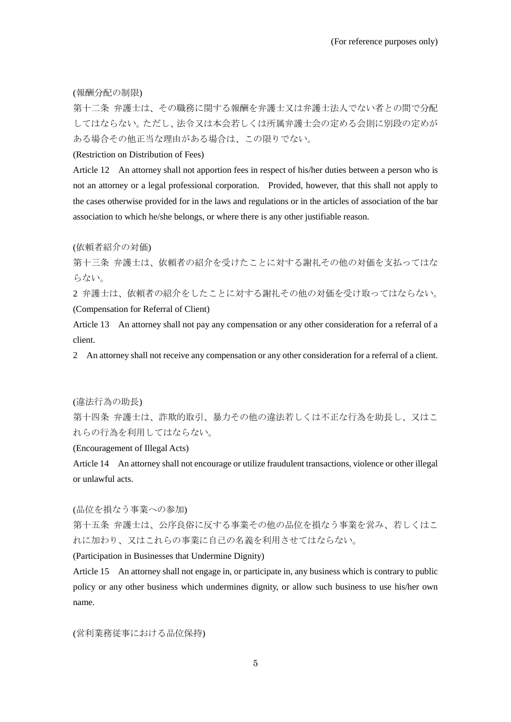(報酬分配の制限)

第十二条 弁護士は、その職務に関する報酬を弁護士又は弁護士法人でない者との間で分配 してはならない。ただし、法令又は本会若しくは所属弁護士会の定める会則に別段の定めが ある場合その他正当な理由がある場合は、この限りでない。

(Restriction on Distribution of Fees)

Article 12 An attorney shall not apportion fees in respect of his/her duties between a person who is not an attorney or a legal professional corporation. Provided, however, that this shall not apply to the cases otherwise provided for in the laws and regulations or in the articles of association of the bar association to which he/she belongs, or where there is any other justifiable reason.

(依頼者紹介の対価)

第十三条 弁護士は、依頼者の紹介を受けたことに対する謝礼その他の対価を支払ってはな らない。

2 弁護士は、依頼者の紹介をしたことに対する謝礼その他の対価を受け取ってはならない。 (Compensation for Referral of Client)

Article 13 An attorney shall not pay any compensation or any other consideration for a referral of a client.

2 An attorney shall not receive any compensation or any other consideration for a referral of a client.

(違法行為の助長)

第十四条 弁護士は、詐欺的取引、暴力その他の違法若しくは不正な行為を助長し、又はこ れらの行為を利用してはならない。

(Encouragement of Illegal Acts)

Article 14 An attorney shall not encourage or utilize fraudulent transactions, violence or other illegal or unlawful acts.

(品位を損なう事業への参加)

第十五条 弁護士は、公序良俗に反する事業その他の品位を損なう事業を営み、若しくはこ れに加わり、又はこれらの事業に自己の名義を利用させてはならない。

(Participation in Businesses that Undermine Dignity)

Article 15 An attorney shall not engage in, or participate in, any business which is contrary to public policy or any other business which undermines dignity, or allow such business to use his/her own name.

(営利業務従事における品位保持)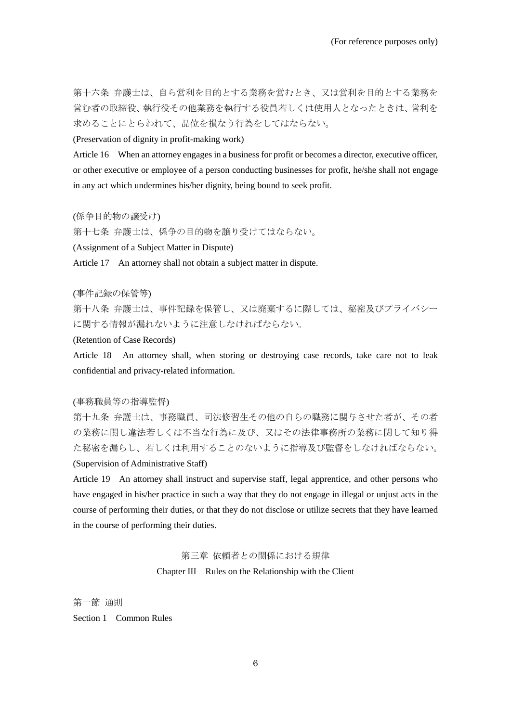第十六条 弁護士は、自ら営利を目的とする業務を営むとき、又は営利を目的とする業務を 営む者の取締役、執行役その他業務を執行する役員若しくは使用人となったときは、営利を 求めることにとらわれて、品位を損なう行為をしてはならない。

(Preservation of dignity in profit-making work)

Article 16 When an attorney engages in a business for profit or becomes a director, executive officer, or other executive or employee of a person conducting businesses for profit, he/she shall not engage in any act which undermines his/her dignity, being bound to seek profit.

## (係争目的物の譲受け)

第十七条 弁護士は、係争の目的物を譲り受けてはならない。

(Assignment of a Subject Matter in Dispute)

Article 17 An attorney shall not obtain a subject matter in dispute.

## (事件記録の保管等)

第十八条 弁護士は、事件記録を保管し、又は廃棄するに際しては、秘密及びプライバシー に関する情報が漏れないように注意しなければならない。

## (Retention of Case Records)

Article 18 An attorney shall, when storing or destroying case records, take care not to leak confidential and privacy-related information.

## (事務職員等の指導監督)

第十九条 弁護士は、事務職員、司法修習生その他の自らの職務に関与させた者が、その者 の業務に関し違法若しくは不当な行為に及び、又はその法律事務所の業務に関して知り得 た秘密を漏らし、若しくは利用することのないように指導及び監督をしなければならない。 (Supervision of Administrative Staff)

Article 19 An attorney shall instruct and supervise staff, legal apprentice, and other persons who have engaged in his/her practice in such a way that they do not engage in illegal or unjust acts in the course of performing their duties, or that they do not disclose or utilize secrets that they have learned in the course of performing their duties.

第三章 依頼者との関係における規律

# Chapter III Rules on the Relationship with the Client

第一節 通則 Section 1 Common Rules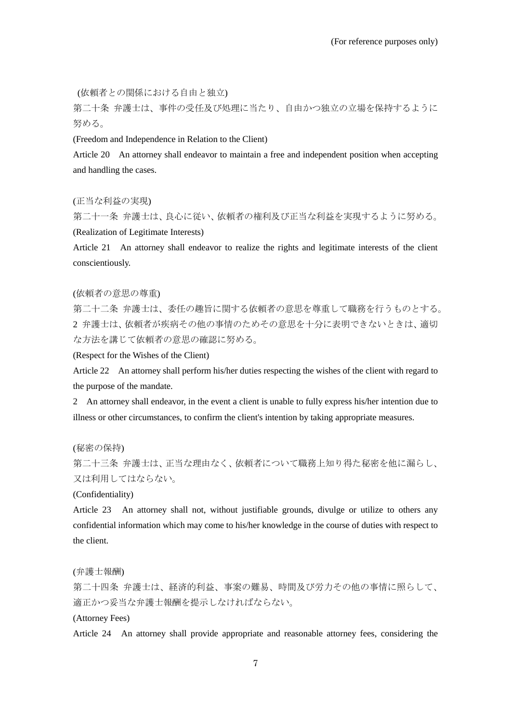(依頼者との関係における自由と独立)

第二十条 弁護士は、事件の受任及び処理に当たり、自由かつ独立の立場を保持するように 努める。

(Freedom and Independence in Relation to the Client)

Article 20 An attorney shall endeavor to maintain a free and independent position when accepting and handling the cases.

(正当な利益の実現)

第二十一条 弁護士は、良心に従い、依頼者の権利及び正当な利益を実現するように努める。 (Realization of Legitimate Interests)

Article 21 An attorney shall endeavor to realize the rights and legitimate interests of the client conscientiously.

#### (依頼者の意思の尊重)

第二十二条 弁護士は、委任の趣旨に関する依頼者の意思を尊重して職務を行うものとする。 2 弁護士は、依頼者が疾病その他の事情のためその意思を十分に表明できないときは、適切 な方法を講じて依頼者の意思の確認に努める。

(Respect for the Wishes of the Client)

Article 22 An attorney shall perform his/her duties respecting the wishes of the client with regard to the purpose of the mandate.

2 An attorney shall endeavor, in the event a client is unable to fully express his/her intention due to illness or other circumstances, to confirm the client's intention by taking appropriate measures.

(秘密の保持)

第二十三条 弁護士は、正当な理由なく、依頼者について職務上知り得た秘密を他に漏らし、 又は利用してはならない。

(Confidentiality)

Article 23 An attorney shall not, without justifiable grounds, divulge or utilize to others any confidential information which may come to his/her knowledge in the course of duties with respect to the client.

(弁護士報酬)

第二十四条 弁護士は、経済的利益、事案の難易、時間及び労力その他の事情に照らして、 適正かつ妥当な弁護士報酬を提示しなければならない。

(Attorney Fees)

Article 24 An attorney shall provide appropriate and reasonable attorney fees, considering the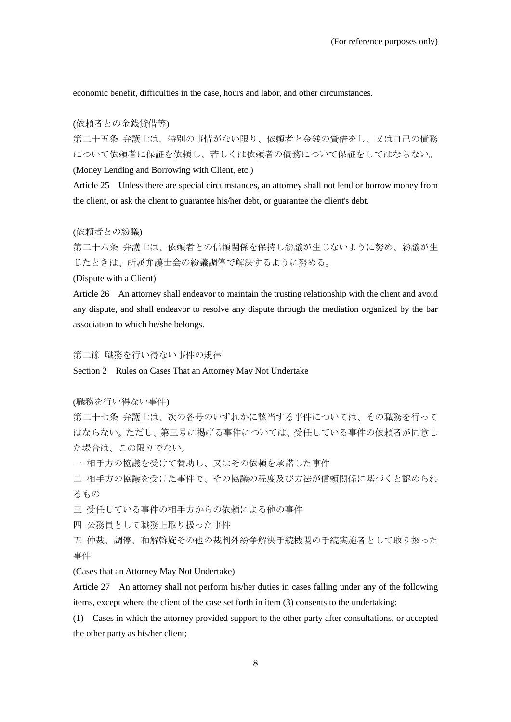economic benefit, difficulties in the case, hours and labor, and other circumstances.

# (依頼者との金銭貸借等)

第二十五条 弁護士は、特別の事情がない限り、依頼者と金銭の貸借をし、又は自己の債務 について依頼者に保証を依頼し、若しくは依頼者の債務について保証をしてはならない。 (Money Lending and Borrowing with Client, etc.)

Article 25 Unless there are special circumstances, an attorney shall not lend or borrow money from the client, or ask the client to guarantee his/her debt, or guarantee the client's debt.

# (依頼者との紛議)

第二十六条 弁護士は、依頼者との信頼関係を保持し紛議が生じないように努め、紛議が生 じたときは、所属弁護士会の紛議調停で解決するように努める。

## (Dispute with a Client)

Article 26 An attorney shall endeavor to maintain the trusting relationship with the client and avoid any dispute, and shall endeavor to resolve any dispute through the mediation organized by the bar association to which he/she belongs.

## 第二節 職務を行い得ない事件の規律

Section 2 Rules on Cases That an Attorney May Not Undertake

# (職務を行い得ない事件)

第二十七条 弁護士は、次の各号のいずれかに該当する事件については、その職務を行って はならない。ただし、第三号に掲げる事件については、受任している事件の依頼者が同意し た場合は、この限りでない。

一 相手方の協議を受けて賛助し、又はその依頼を承諾した事件

二 相手方の協議を受けた事件で、その協議の程度及び方法が信頼関係に基づくと認められ るもの

- 三 受任している事件の相手方からの依頼による他の事件
- 四 公務員として職務上取り扱った事件
- 五 仲裁、調停、和解斡旋その他の裁判外紛争解決手続機関の手続実施者として取り扱った 事件

# (Cases that an Attorney May Not Undertake)

Article 27 An attorney shall not perform his/her duties in cases falling under any of the following items, except where the client of the case set forth in item (3) consents to the undertaking:

(1) Cases in which the attorney provided support to the other party after consultations, or accepted the other party as his/her client;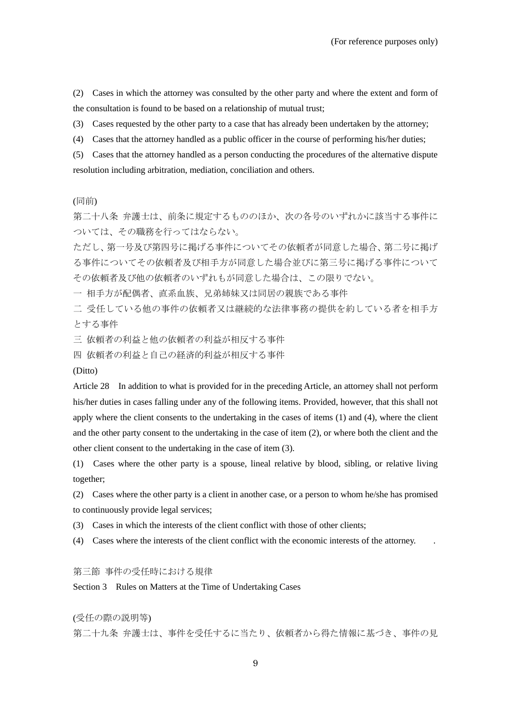(2) Cases in which the attorney was consulted by the other party and where the extent and form of the consultation is found to be based on a relationship of mutual trust;

(3) Cases requested by the other party to a case that has already been undertaken by the attorney;

(4) Cases that the attorney handled as a public officer in the course of performing his/her duties;

(5) Cases that the attorney handled as a person conducting the procedures of the alternative dispute resolution including arbitration, mediation, conciliation and others.

(同前)

第二十八条 弁護士は、前条に規定するもののほか、次の各号のいずれかに該当する事件に ついては、その職務を行ってはならない。

ただし、第一号及び第四号に掲げる事件についてその依頼者が同意した場合、第二号に掲げ る事件についてその依頼者及び相手方が同意した場合並びに第三号に掲げる事件について その依頼者及び他の依頼者のいずれもが同意した場合は、この限りでない。

一 相手方が配偶者、直系血族、兄弟姉妹又は同居の親族である事件

二 受任している他の事件の依頼者又は継続的な法律事務の提供を約している者を相手方 とする事件

三 依頼者の利益と他の依頼者の利益が相反する事件

四 依頼者の利益と自己の経済的利益が相反する事件

(Ditto)

Article 28 In addition to what is provided for in the preceding Article, an attorney shall not perform his/her duties in cases falling under any of the following items. Provided, however, that this shall not apply where the client consents to the undertaking in the cases of items (1) and (4), where the client and the other party consent to the undertaking in the case of item (2), or where both the client and the other client consent to the undertaking in the case of item (3).

(1) Cases where the other party is a spouse, lineal relative by blood, sibling, or relative living together;

(2) Cases where the other party is a client in another case, or a person to whom he/she has promised to continuously provide legal services;

(3) Cases in which the interests of the client conflict with those of other clients;

(4) Cases where the interests of the client conflict with the economic interests of the attorney. .

第三節 事件の受任時における規律

Section 3 Rules on Matters at the Time of Undertaking Cases

(受任の際の説明等)

第二十九条 弁護士は、事件を受任するに当たり、依頼者から得た情報に基づき、事件の見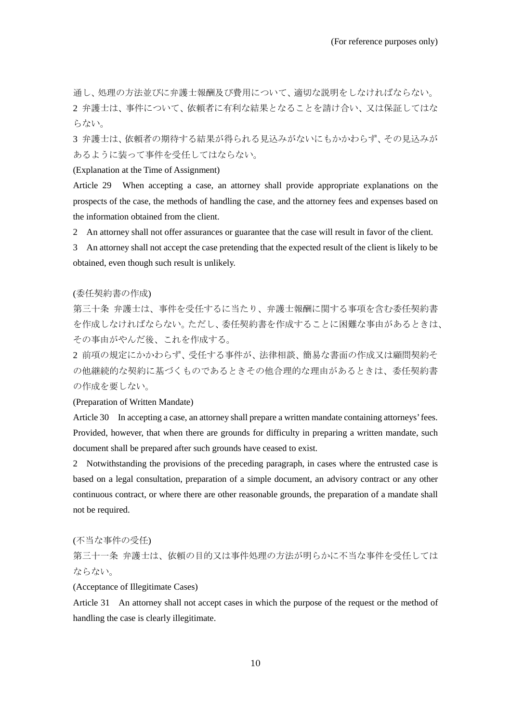通し、処理の方法並びに弁護士報酬及び費用について、適切な説明をしなければならない。 2 弁護士は、事件について、依頼者に有利な結果となることを請け合い、又は保証してはな らない。

3 弁護士は、依頼者の期待する結果が得られる見込みがないにもかかわらず、その見込みが あるように装って事件を受任してはならない。

# (Explanation at the Time of Assignment)

Article 29 When accepting a case, an attorney shall provide appropriate explanations on the prospects of the case, the methods of handling the case, and the attorney fees and expenses based on the information obtained from the client.

2 An attorney shall not offer assurances or guarantee that the case will result in favor of the client.

3 An attorney shall not accept the case pretending that the expected result of the client is likely to be obtained, even though such result is unlikely.

## (委任契約書の作成)

第三十条 弁護士は、事件を受任するに当たり、弁護士報酬に関する事項を含む委任契約書 を作成しなければならない。ただし、委任契約書を作成することに困難な事由があるときは、 その事由がやんだ後、これを作成する。

2 前項の規定にかかわらず、受任する事件が、法律相談、簡易な書面の作成又は顧問契約そ の他継続的な契約に基づくものであるときその他合理的な理由があるときは、委任契約書 の作成を要しない。

# (Preparation of Written Mandate)

Article 30 In accepting a case, an attorney shall prepare a written mandate containing attorneys' fees. Provided, however, that when there are grounds for difficulty in preparing a written mandate, such document shall be prepared after such grounds have ceased to exist.

2 Notwithstanding the provisions of the preceding paragraph, in cases where the entrusted case is based on a legal consultation, preparation of a simple document, an advisory contract or any other continuous contract, or where there are other reasonable grounds, the preparation of a mandate shall not be required.

# (不当な事件の受任)

第三十一条 弁護士は、依頼の目的又は事件処理の方法が明らかに不当な事件を受任しては ならない。

# (Acceptance of Illegitimate Cases)

Article 31 An attorney shall not accept cases in which the purpose of the request or the method of handling the case is clearly illegitimate.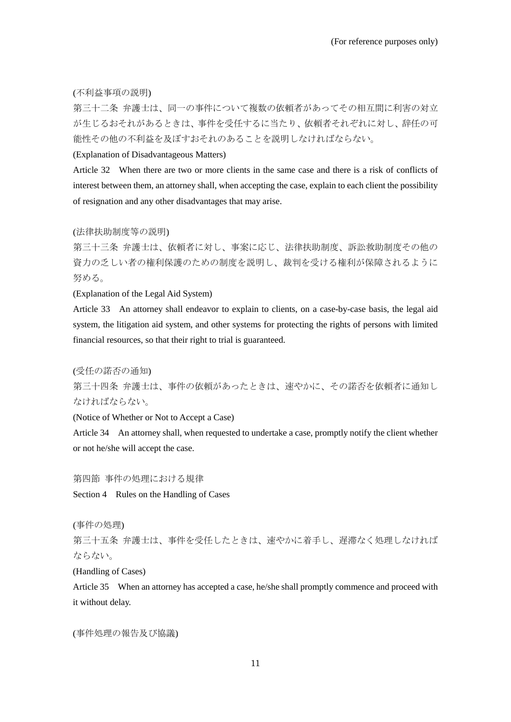(不利益事項の説明)

第三十二条 弁護士は、同一の事件について複数の依頼者があってその相互間に利害の対立 が生じるおそれがあるときは、事件を受任するに当たり、依頼者それぞれに対し、辞任の可 能性その他の不利益を及ぼすおそれのあることを説明しなければならない。

(Explanation of Disadvantageous Matters)

Article 32 When there are two or more clients in the same case and there is a risk of conflicts of interest between them, an attorney shall, when accepting the case, explain to each client the possibility of resignation and any other disadvantages that may arise.

## (法律扶助制度等の説明)

第三十三条 弁護士は、依頼者に対し、事案に応じ、法律扶助制度、訴訟救助制度その他の 資力の乏しい者の権利保護のための制度を説明し、裁判を受ける権利が保障されるように 努める。

# (Explanation of the Legal Aid System)

Article 33 An attorney shall endeavor to explain to clients, on a case-by-case basis, the legal aid system, the litigation aid system, and other systems for protecting the rights of persons with limited financial resources, so that their right to trial is guaranteed.

(受任の諾否の通知)

第三十四条 弁護士は、事件の依頼があったときは、速やかに、その諾否を依頼者に通知し なければならない。

(Notice of Whether or Not to Accept a Case)

Article 34 An attorney shall, when requested to undertake a case, promptly notify the client whether or not he/she will accept the case.

第四節 事件の処理における規律 Section 4 Rules on the Handling of Cases

(事件の処理)

第三十五条 弁護士は、事件を受任したときは、速やかに着手し、遅滞なく処理しなければ ならない。

(Handling of Cases)

Article 35 When an attorney has accepted a case, he/she shall promptly commence and proceed with it without delay.

(事件処理の報告及び協議)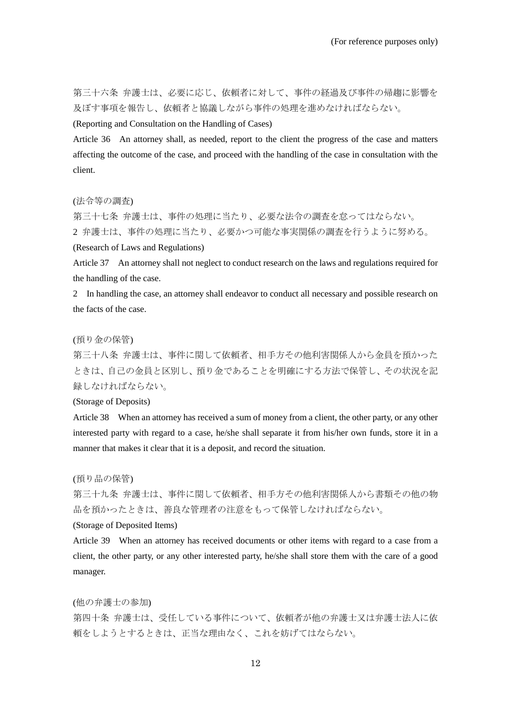第三十六条 弁護士は、必要に応じ、依頼者に対して、事件の経過及び事件の帰趨に影響を 及ぼす事項を報告し、依頼者と協議しながら事件の処理を進めなければならない。

(Reporting and Consultation on the Handling of Cases)

Article 36 An attorney shall, as needed, report to the client the progress of the case and matters affecting the outcome of the case, and proceed with the handling of the case in consultation with the client.

# (法令等の調査)

第三十七条 弁護士は、事件の処理に当たり、必要な法令の調査を怠ってはならない。 2 弁護士は、事件の処理に当たり、必要かつ可能な事実関係の調査を行うように努める。 (Research of Laws and Regulations)

Article 37 An attorney shall not neglect to conduct research on the laws and regulations required for the handling of the case.

2 In handling the case, an attorney shall endeavor to conduct all necessary and possible research on the facts of the case.

# (預り金の保管)

第三十八条 弁護士は、事件に関して依頼者、相手方その他利害関係人から金員を預かった ときは、自己の金員と区別し、預り金であることを明確にする方法で保管し、その状況を記 録しなければならない。

# (Storage of Deposits)

Article 38 When an attorney has received a sum of money from a client, the other party, or any other interested party with regard to a case, he/she shall separate it from his/her own funds, store it in a manner that makes it clear that it is a deposit, and record the situation.

#### (預り品の保管)

第三十九条 弁護士は、事件に関して依頼者、相手方その他利害関係人から書類その他の物 品を預かったときは、善良な管理者の注意をもって保管しなければならない。

## (Storage of Deposited Items)

Article 39 When an attorney has received documents or other items with regard to a case from a client, the other party, or any other interested party, he/she shall store them with the care of a good manager.

#### (他の弁護士の参加)

第四十条 弁護士は、受任している事件について、依頼者が他の弁護士又は弁護士法人に依 頼をしようとするときは、正当な理由なく、これを妨げてはならない。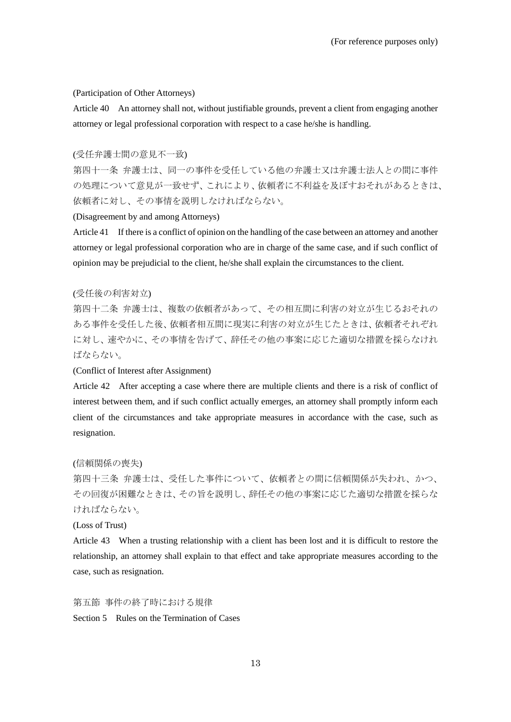## (Participation of Other Attorneys)

Article 40 An attorney shall not, without justifiable grounds, prevent a client from engaging another attorney or legal professional corporation with respect to a case he/she is handling.

# (受任弁護士間の意見不一致)

第四十一条 弁護士は、同一の事件を受任している他の弁護士又は弁護士法人との間に事件 の処理について意見が一致せず、これにより、依頼者に不利益を及ぼすおそれがあるときは、 依頼者に対し、その事情を説明しなければならない。

(Disagreement by and among Attorneys)

Article 41 If there is a conflict of opinion on the handling of the case between an attorney and another attorney or legal professional corporation who are in charge of the same case, and if such conflict of opinion may be prejudicial to the client, he/she shall explain the circumstances to the client.

## (受任後の利害対立)

第四十二条 弁護士は、複数の依頼者があって、その相互間に利害の対立が生じるおそれの ある事件を受任した後、依頼者相互間に現実に利害の対立が生じたときは、依頼者それぞれ に対し、速やかに、その事情を告げて、辞任その他の事案に応じた適切な措置を採らなけれ ばならない。

# (Conflict of Interest after Assignment)

Article 42 After accepting a case where there are multiple clients and there is a risk of conflict of interest between them, and if such conflict actually emerges, an attorney shall promptly inform each client of the circumstances and take appropriate measures in accordance with the case, such as resignation.

# (信頼関係の喪失)

第四十三条 弁護士は、受任した事件について、依頼者との間に信頼関係が失われ、かつ、 その回復が困難なときは、その旨を説明し、辞任その他の事案に応じた適切な措置を採らな ければならない。

# (Loss of Trust)

Article 43 When a trusting relationship with a client has been lost and it is difficult to restore the relationship, an attorney shall explain to that effect and take appropriate measures according to the case, such as resignation.

第五節 事件の終了時における規律

Section 5 Rules on the Termination of Cases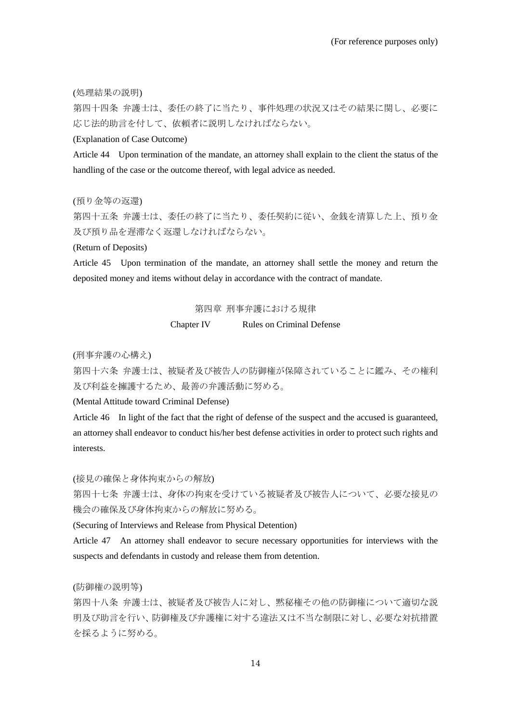(処理結果の説明)

第四十四条 弁護士は、委任の終了に当たり、事件処理の状況又はその結果に関し、必要に 応じ法的助言を付して、依頼者に説明しなければならない。

(Explanation of Case Outcome)

Article 44 Upon termination of the mandate, an attorney shall explain to the client the status of the handling of the case or the outcome thereof, with legal advice as needed.

(預り金等の返還)

第四十五条 弁護士は、委任の終了に当たり、委任契約に従い、金銭を清算した上、預り金 及び預り品を遅滞なく返還しなければならない。

(Return of Deposits)

Article 45 Upon termination of the mandate, an attorney shall settle the money and return the deposited money and items without delay in accordance with the contract of mandate.

> 第四章 刑事弁護における規律 Chapter IV Rules on Criminal Defense

(刑事弁護の心構え)

第四十六条 弁護士は、被疑者及び被告人の防御権が保障されていることに鑑み、その権利 及び利益を擁護するため、最善の弁護活動に努める。

(Mental Attitude toward Criminal Defense)

Article 46 In light of the fact that the right of defense of the suspect and the accused is guaranteed, an attorney shall endeavor to conduct his/her best defense activities in order to protect such rights and interests.

(接見の確保と身体拘束からの解放)

第四十七条 弁護士は、身体の拘束を受けている被疑者及び被告人について、必要な接見の 機会の確保及び身体拘束からの解放に努める。

(Securing of Interviews and Release from Physical Detention)

Article 47 An attorney shall endeavor to secure necessary opportunities for interviews with the suspects and defendants in custody and release them from detention.

(防御権の説明等)

第四十八条 弁護士は、被疑者及び被告人に対し、黙秘権その他の防御権について適切な説 明及び助言を行い、防御権及び弁護権に対する違法又は不当な制限に対し、必要な対抗措置 を採るように努める。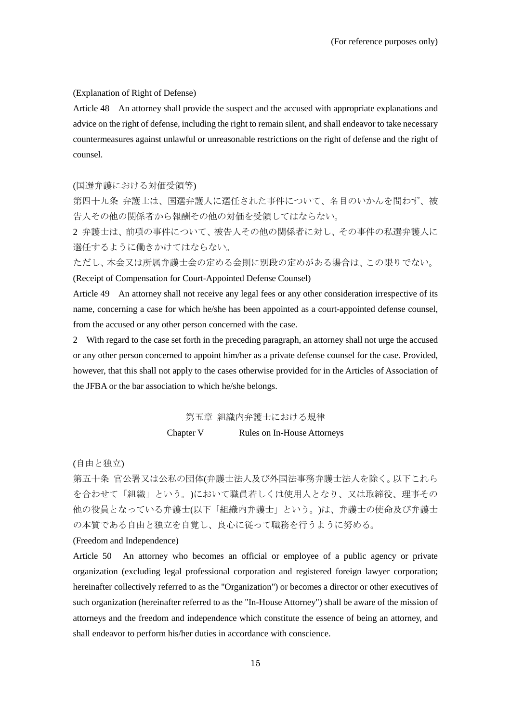(Explanation of Right of Defense)

Article 48 An attorney shall provide the suspect and the accused with appropriate explanations and advice on the right of defense, including the right to remain silent, and shall endeavor to take necessary countermeasures against unlawful or unreasonable restrictions on the right of defense and the right of counsel.

# (国選弁護における対価受領等)

第四十九条 弁護士は、国選弁護人に選任された事件について、名目のいかんを問わず、被 告人その他の関係者から報酬その他の対価を受領してはならない。

2 弁護士は、前項の事件について、被告人その他の関係者に対し、その事件の私選弁護人に 選任するように働きかけてはならない。

ただし、本会又は所属弁護士会の定める会則に別段の定めがある場合は、この限りでない。 (Receipt of Compensation for Court-Appointed Defense Counsel)

Article 49 An attorney shall not receive any legal fees or any other consideration irrespective of its name, concerning a case for which he/she has been appointed as a court-appointed defense counsel, from the accused or any other person concerned with the case.

2 With regard to the case set forth in the preceding paragraph, an attorney shall not urge the accused or any other person concerned to appoint him/her as a private defense counsel for the case. Provided, however, that this shall not apply to the cases otherwise provided for in the Articles of Association of the JFBA or the bar association to which he/she belongs.

第五章 組織内弁護士における規律

Chapter V Rules on In-House Attorneys

(自由と独立)

第五十条 官公署又は公私の団体(弁護士法人及び外国法事務弁護士法人を除く。以下これら を合わせて「組織」という。)において職員若しくは使用人となり、又は取締役、理事その 他の役員となっている弁護士(以下「組織内弁護士」という。)は、弁護士の使命及び弁護士 の本質である自由と独立を自覚し、良心に従って職務を行うように努める。

# (Freedom and Independence)

Article 50 An attorney who becomes an official or employee of a public agency or private organization (excluding legal professional corporation and registered foreign lawyer corporation; hereinafter collectively referred to as the "Organization") or becomes a director or other executives of such organization (hereinafter referred to as the "In-House Attorney") shall be aware of the mission of attorneys and the freedom and independence which constitute the essence of being an attorney, and shall endeavor to perform his/her duties in accordance with conscience.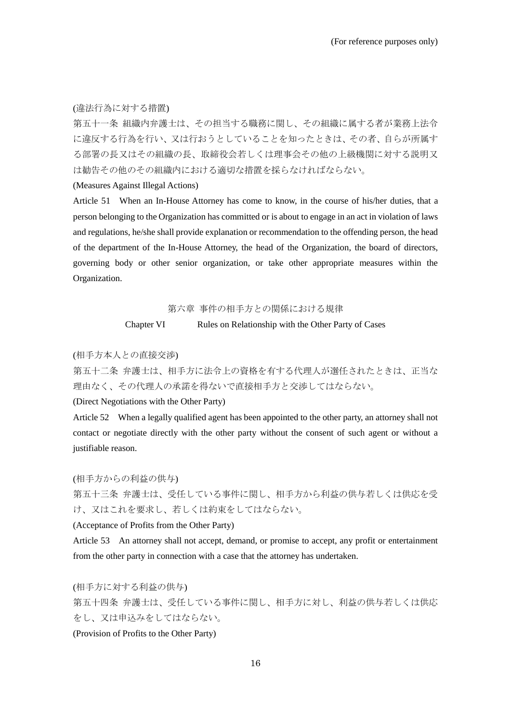(違法行為に対する措置)

第五十一条 組織内弁護士は、その担当する職務に関し、その組織に属する者が業務上法令 に違反する行為を行い、又は行おうとしていることを知ったときは、その者、自らが所属す る部署の長又はその組織の長、取締役会若しくは理事会その他の上級機関に対する説明又 は勧告その他のその組織内における適切な措置を採らなければならない。

(Measures Against Illegal Actions)

Article 51 When an In-House Attorney has come to know, in the course of his/her duties, that a person belonging to the Organization has committed or is about to engage in an act in violation of laws and regulations, he/she shall provide explanation or recommendation to the offending person, the head of the department of the In-House Attorney, the head of the Organization, the board of directors, governing body or other senior organization, or take other appropriate measures within the Organization.

# 第六章 事件の相手方との関係における規律

Chapter VI Rules on Relationship with the Other Party of Cases

## (相手方本人との直接交渉)

第五十二条 弁護士は、相手方に法令上の資格を有する代理人が選任されたときは、正当な 理由なく、その代理人の承諾を得ないで直接相手方と交渉してはならない。

(Direct Negotiations with the Other Party)

Article 52 When a legally qualified agent has been appointed to the other party, an attorney shall not contact or negotiate directly with the other party without the consent of such agent or without a justifiable reason.

## (相手方からの利益の供与)

第五十三条 弁護士は、受任している事件に関し、相手方から利益の供与若しくは供応を受 け、又はこれを要求し、若しくは約束をしてはならない。

(Acceptance of Profits from the Other Party)

Article 53 An attorney shall not accept, demand, or promise to accept, any profit or entertainment from the other party in connection with a case that the attorney has undertaken.

(相手方に対する利益の供与)

第五十四条 弁護士は、受任している事件に関し、相手方に対し、利益の供与若しくは供応 をし、又は申込みをしてはならない。

(Provision of Profits to the Other Party)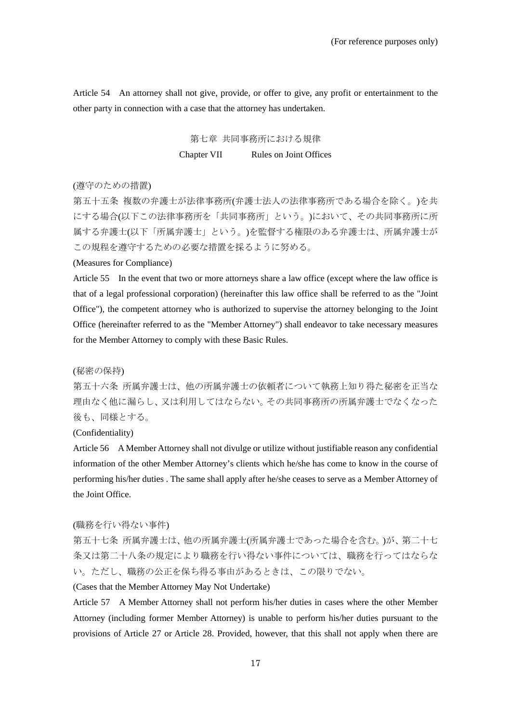Article 54 An attorney shall not give, provide, or offer to give, any profit or entertainment to the other party in connection with a case that the attorney has undertaken.

> 第七章 共同事務所における規律 Chapter VII Rules on Joint Offices

# (遵守のための措置)

第五十五条 複数の弁護士が法律事務所(弁護士法人の法律事務所である場合を除く。)を共 にする場合(以下この法律事務所を「共同事務所」という。)において、その共同事務所に所 属する弁護士(以下「所属弁護士」という。)を監督する権限のある弁護士は、所属弁護士が この規程を遵守するための必要な措置を採るように努める。

## (Measures for Compliance)

Article 55 In the event that two or more attorneys share a law office (except where the law office is that of a legal professional corporation) (hereinafter this law office shall be referred to as the "Joint Office"), the competent attorney who is authorized to supervise the attorney belonging to the Joint Office (hereinafter referred to as the "Member Attorney") shall endeavor to take necessary measures for the Member Attorney to comply with these Basic Rules.

#### (秘密の保持)

第五十六条 所属弁護士は、他の所属弁護士の依頼者について執務上知り得た秘密を正当な 理由なく他に漏らし、又は利用してはならない。その共同事務所の所属弁護士でなくなった 後も、同様とする。

# (Confidentiality)

Article 56 A Member Attorney shall not divulge or utilize without justifiable reason any confidential information of the other Member Attorney's clients which he/she has come to know in the course of performing his/her duties . The same shall apply after he/she ceases to serve as a Member Attorney of the Joint Office.

# (職務を行い得ない事件)

第五十七条 所属弁護士は、他の所属弁護士(所属弁護士であった場合を含む。)が、第二十七 条又は第二十八条の規定により職務を行い得ない事件については、職務を行ってはならな い。ただし、職務の公正を保ち得る事由があるときは、この限りでない。

# (Cases that the Member Attorney May Not Undertake)

Article 57 A Member Attorney shall not perform his/her duties in cases where the other Member Attorney (including former Member Attorney) is unable to perform his/her duties pursuant to the provisions of Article 27 or Article 28. Provided, however, that this shall not apply when there are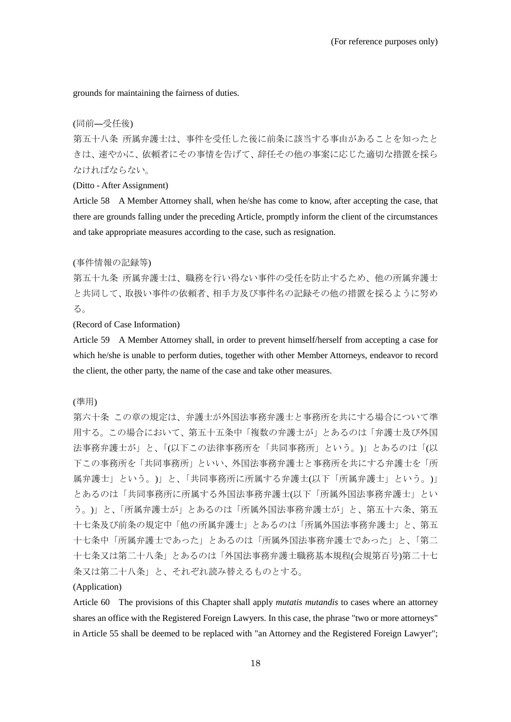grounds for maintaining the fairness of duties.

(同前―受任後)

第五十八条 所属弁護士は、事件を受任した後に前条に該当する事由があることを知ったと きは、速やかに、依頼者にその事情を告げて、辞任その他の事案に応じた適切な措置を採ら なければならない。

(Ditto - After Assignment)

Article 58 A Member Attorney shall, when he/she has come to know, after accepting the case, that there are grounds falling under the preceding Article, promptly inform the client of the circumstances and take appropriate measures according to the case, such as resignation.

## (事件情報の記録等)

第五十九条 所属弁護士は、職務を行い得ない事件の受任を防止するため、他の所属弁護士 と共同して、取扱い事件の依頼者、相手方及び事件名の記録その他の措置を採るように努め る。

(Record of Case Information)

Article 59 A Member Attorney shall, in order to prevent himself/herself from accepting a case for which he/she is unable to perform duties, together with other Member Attorneys, endeavor to record the client, the other party, the name of the case and take other measures.

(準用)

第六十条 この章の規定は、弁護士が外国法事務弁護士と事務所を共にする場合について準 用する。この場合において、第五十五条中「複数の弁護士が」とあるのは「弁護士及び外国 法事務弁護士が」と、「(以下この法律事務所を「共同事務所」という。)」とあるのは「(以 下この事務所を「共同事務所」といい、外国法事務弁護士と事務所を共にする弁護士を「所 属弁護士」という。)」と、「共同事務所に所属する弁護士(以下「所属弁護士」という。)」 とあるのは「共同事務所に所属する外国法事務弁護士(以下「所属外国法事務弁護士」とい う。)」と、「所属弁護士が」とあるのは「所属外国法事務弁護士が」と、第五十六条、第五 十七条及び前条の規定中「他の所属弁護士」とあるのは「所属外国法事務弁護士」と、第五 十七条中「所属弁護士であった」とあるのは「所属外国法事務弁護士であった」と、「第二 十七条又は第二十八条」とあるのは「外国法事務弁護士職務基本規程(会規第百号)第二十七 条又は第二十八条」と、それぞれ読み替えるものとする。

# (Application)

Article 60 The provisions of this Chapter shall apply *mutatis mutandis* to cases where an attorney shares an office with the Registered Foreign Lawyers. In this case, the phrase "two or more attorneys" in Article 55 shall be deemed to be replaced with "an Attorney and the Registered Foreign Lawyer";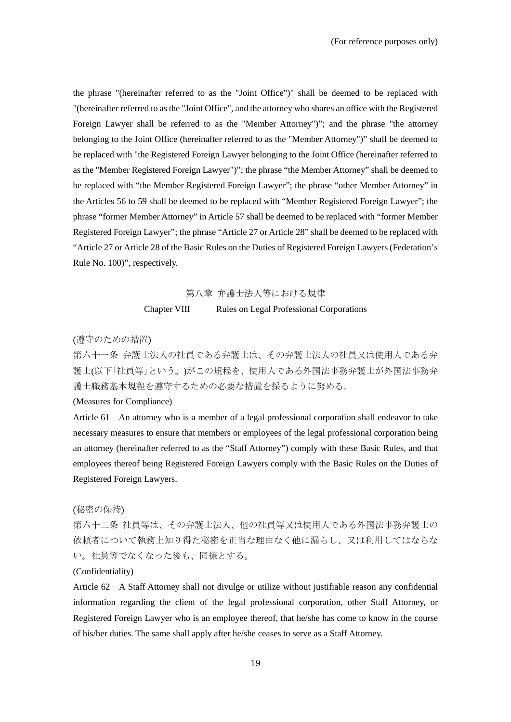the phrase "(hereinafter referred to as the "Joint Office")" shall be deemed to be replaced with "(hereinafter referred to as the "Joint Office", and the attorney who shares an office with the Registered Foreign Lawyer shall be referred to as the "Member Attorney")"; and the phrase "the attorney belonging to the Joint Office (hereinafter referred to as the "Member Attorney")" shall be deemed to be replaced with "the Registered Foreign Lawyer belonging to the Joint Office (hereinafter referred to as the "Member Registered Foreign Lawyer")"; the phrase "the Member Attorney" shall be deemed to be replaced with "the Member Registered Foreign Lawyer"; the phrase "other Member Attorney" in the Articles 56 to 59 shall be deemed to be replaced with "Member Registered Foreign Lawyer"; the phrase "former Member Attorney" in Article 57 shall be deemed to be replaced with "former Member Registered Foreign Lawyer"; the phrase "Article 27 or Article 28" shall be deemed to be replaced with "Article 27 or Article 28 of the Basic Rules on the Duties of Registered Foreign Lawyers (Federation's Rule No. 100)", respectively.

## 第八章 弁護士法人等における規律

Chapter VIII Rules on Legal Professional Corporations

# (遵守のための措置)

第六十一条 弁護士法人の社員である弁護士は、その弁護士法人の社員又は使用人である弁 護士(以下「社員等」という。)がこの規程を、使用人である外国法事務弁護士が外国法事務弁 護士職務基本規程を遵守するための必要な措置を採るように努める。

# (Measures for Compliance)

Article 61 An attorney who is a member of a legal professional corporation shall endeavor to take necessary measures to ensure that members or employees of the legal professional corporation being an attorney (hereinafter referred to as the "Staff Attorney") comply with these Basic Rules, and that employees thereof being Registered Foreign Lawyers comply with the Basic Rules on the Duties of Registered Foreign Lawyers.

## (秘密の保持)

第六十二条 社員等は、その弁護士法人、他の社員等又は使用人である外国法事務弁護士の 依頼者について執務上知り得た秘密を正当な理由なく他に漏らし、又は利用してはならな い。社員等でなくなった後も、同様とする。

## (Confidentiality)

Article 62 A Staff Attorney shall not divulge or utilize without justifiable reason any confidential information regarding the client of the legal professional corporation, other Staff Attorney, or Registered Foreign Lawyer who is an employee thereof, that he/she has come to know in the course of his/her duties. The same shall apply after he/she ceases to serve as a Staff Attorney.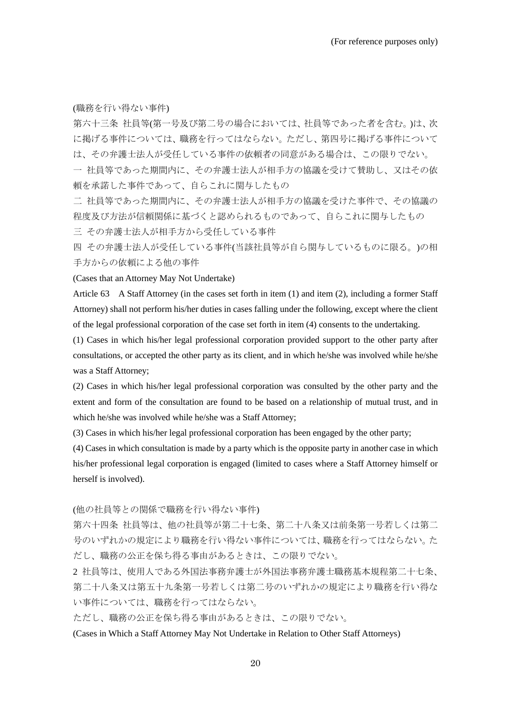(職務を行い得ない事件)

第六十三条 社員等(第一号及び第二号の場合においては、社員等であった者を含む。)は、次 に掲げる事件については、職務を行ってはならない。ただし、第四号に掲げる事件について は、その弁護士法人が受任している事件の依頼者の同意がある場合は、この限りでない。

一 社員等であった期間内に、その弁護士法人が相手方の協議を受けて賛助し、又はその依 頼を承諾した事件であって、自らこれに関与したもの

二 社員等であった期間内に、その弁護士法人が相手方の協議を受けた事件で、その協議の 程度及び方法が信頼関係に基づくと認められるものであって、自らこれに関与したもの 三 その弁護士法人が相手方から受任している事件

四 その弁護士法人が受任している事件(当該社員等が自ら関与しているものに限る。)の相 手方からの依頼による他の事件

(Cases that an Attorney May Not Undertake)

Article 63 A Staff Attorney (in the cases set forth in item (1) and item (2), including a former Staff Attorney) shall not perform his/her duties in cases falling under the following, except where the client of the legal professional corporation of the case set forth in item (4) consents to the undertaking.

(1) Cases in which his/her legal professional corporation provided support to the other party after consultations, or accepted the other party as its client, and in which he/she was involved while he/she was a Staff Attorney;

(2) Cases in which his/her legal professional corporation was consulted by the other party and the extent and form of the consultation are found to be based on a relationship of mutual trust, and in which he/she was involved while he/she was a Staff Attorney;

(3) Cases in which his/her legal professional corporation has been engaged by the other party;

(4) Cases in which consultation is made by a party which is the opposite party in another case in which his/her professional legal corporation is engaged (limited to cases where a Staff Attorney himself or herself is involved).

(他の社員等との関係で職務を行い得ない事件)

第六十四条 社員等は、他の社員等が第二十七条、第二十八条又は前条第一号若しくは第二 号のいずれかの規定により職務を行い得ない事件については、職務を行ってはならない。た だし、職務の公正を保ち得る事由があるときは、この限りでない。

2 社員等は、使用人である外国法事務弁護士が外国法事務弁護士職務基本規程第二十七条、 第二十八条又は第五十九条第一号若しくは第二号のいずれかの規定により職務を行い得な い事件については、職務を行ってはならない。

ただし、職務の公正を保ち得る事由があるときは、この限りでない。

(Cases in Which a Staff Attorney May Not Undertake in Relation to Other Staff Attorneys)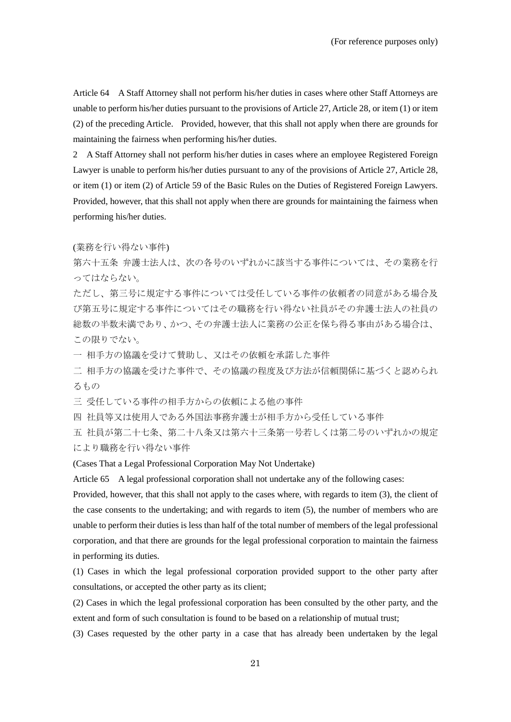Article 64 A Staff Attorney shall not perform his/her duties in cases where other Staff Attorneys are unable to perform his/her duties pursuant to the provisions of Article 27, Article 28, or item (1) or item (2) of the preceding Article. Provided, however, that this shall not apply when there are grounds for maintaining the fairness when performing his/her duties.

2 A Staff Attorney shall not perform his/her duties in cases where an employee Registered Foreign Lawyer is unable to perform his/her duties pursuant to any of the provisions of Article 27, Article 28, or item (1) or item (2) of Article 59 of the Basic Rules on the Duties of Registered Foreign Lawyers. Provided, however, that this shall not apply when there are grounds for maintaining the fairness when performing his/her duties.

(業務を行い得ない事件)

第六十五条 弁護士法人は、次の各号のいずれかに該当する事件については、その業務を行 ってはならない。

ただし、第三号に規定する事件については受任している事件の依頼者の同意がある場合及 び第五号に規定する事件についてはその職務を行い得ない社員がその弁護士法人の社員の 総数の半数未満であり、かつ、その弁護士法人に業務の公正を保ち得る事由がある場合は、 この限りでない。

一 相手方の協議を受けて賛助し、又はその依頼を承諾した事件

二 相手方の協議を受けた事件で、その協議の程度及び方法が信頼関係に基づくと認められ るもの

三 受任している事件の相手方からの依頼による他の事件

四 社員等又は使用人である外国法事務弁護士が相手方から受任している事件

五 社員が第二十七条、第二十八条又は第六十三条第一号若しくは第二号のいずれかの規定 により職務を行い得ない事件

(Cases That a Legal Professional Corporation May Not Undertake)

Article 65 A legal professional corporation shall not undertake any of the following cases:

Provided, however, that this shall not apply to the cases where, with regards to item (3), the client of the case consents to the undertaking; and with regards to item (5), the number of members who are unable to perform their duties is less than half of the total number of members of the legal professional corporation, and that there are grounds for the legal professional corporation to maintain the fairness in performing its duties.

(1) Cases in which the legal professional corporation provided support to the other party after consultations, or accepted the other party as its client;

(2) Cases in which the legal professional corporation has been consulted by the other party, and the extent and form of such consultation is found to be based on a relationship of mutual trust;

(3) Cases requested by the other party in a case that has already been undertaken by the legal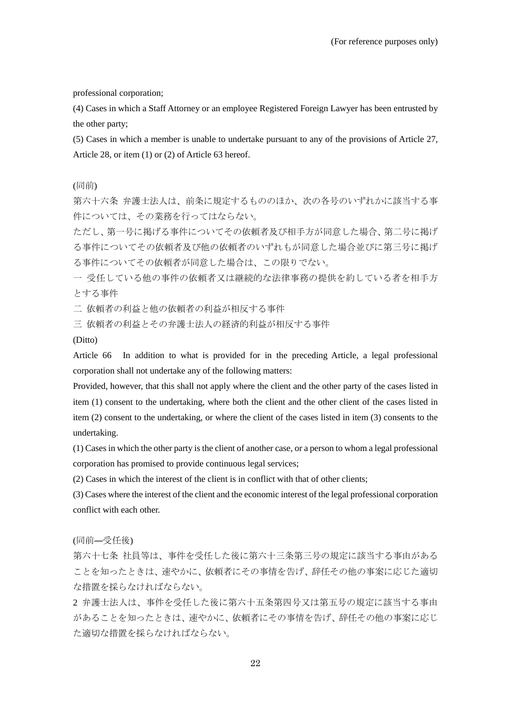professional corporation;

(4) Cases in which a Staff Attorney or an employee Registered Foreign Lawyer has been entrusted by the other party;

(5) Cases in which a member is unable to undertake pursuant to any of the provisions of Article 27, Article 28, or item (1) or (2) of Article 63 hereof.

(同前)

第六十六条 弁護士法人は、前条に規定するもののほか、次の各号のいずれかに該当する事 件については、その業務を行ってはならない。

ただし、第一号に掲げる事件についてその依頼者及び相手方が同意した場合、第二号に掲げ る事件についてその依頼者及び他の依頼者のいずれもが同意した場合並びに第三号に掲げ る事件についてその依頼者が同意した場合は、この限りでない。

一 受任している他の事件の依頼者又は継続的な法律事務の提供を約している者を相手方 とする事件

二 依頼者の利益と他の依頼者の利益が相反する事件

三 依頼者の利益とその弁護士法人の経済的利益が相反する事件

(Ditto)

Article 66 In addition to what is provided for in the preceding Article, a legal professional corporation shall not undertake any of the following matters:

Provided, however, that this shall not apply where the client and the other party of the cases listed in item (1) consent to the undertaking, where both the client and the other client of the cases listed in item (2) consent to the undertaking, or where the client of the cases listed in item (3) consents to the undertaking.

(1) Cases in which the other party is the client of another case, or a person to whom a legal professional corporation has promised to provide continuous legal services;

(2) Cases in which the interest of the client is in conflict with that of other clients;

(3) Cases where the interest of the client and the economic interest of the legal professional corporation conflict with each other.

(同前―受任後)

第六十七条 社員等は、事件を受任した後に第六十三条第三号の規定に該当する事由がある ことを知ったときは、速やかに、依頼者にその事情を告げ、辞任その他の事案に応じた適切 な措置を採らなければならない。

2 弁護士法人は、事件を受任した後に第六十五条第四号又は第五号の規定に該当する事由 があることを知ったときは、速やかに、依頼者にその事情を告げ、辞任その他の事案に応じ た適切な措置を採らなければならない。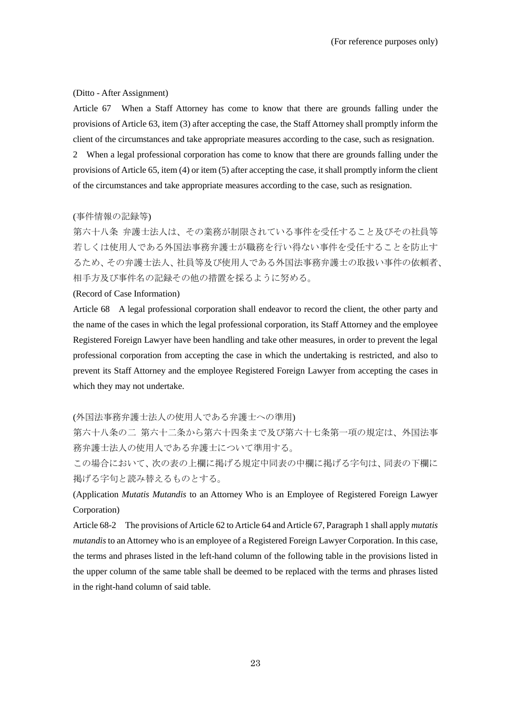## (Ditto - After Assignment)

Article 67 When a Staff Attorney has come to know that there are grounds falling under the provisions of Article 63, item (3) after accepting the case, the Staff Attorney shall promptly inform the client of the circumstances and take appropriate measures according to the case, such as resignation. 2 When a legal professional corporation has come to know that there are grounds falling under the

provisions of Article 65, item (4) or item (5) after accepting the case, it shall promptly inform the client of the circumstances and take appropriate measures according to the case, such as resignation.

## (事件情報の記録等)

第六十八条 弁護士法人は、その業務が制限されている事件を受任すること及びその社員等 若しくは使用人である外国法事務弁護士が職務を行い得ない事件を受任することを防止す るため、その弁護士法人、社員等及び使用人である外国法事務弁護士の取扱い事件の依頼者、 相手方及び事件名の記録その他の措置を採るように努める。

## (Record of Case Information)

Article 68 A legal professional corporation shall endeavor to record the client, the other party and the name of the cases in which the legal professional corporation, its Staff Attorney and the employee Registered Foreign Lawyer have been handling and take other measures, in order to prevent the legal professional corporation from accepting the case in which the undertaking is restricted, and also to prevent its Staff Attorney and the employee Registered Foreign Lawyer from accepting the cases in which they may not undertake.

(外国法事務弁護士法人の使用人である弁護士への準用)

第六十八条の二 第六十二条から第六十四条まで及び第六十七条第一項の規定は、外国法事 務弁護士法人の使用人である弁護士について準用する。

この場合において、次の表の上欄に掲げる規定中同表の中欄に掲げる字句は、同表の下欄に 掲げる字句と読み替えるものとする。

(Application *Mutatis Mutandis* to an Attorney Who is an Employee of Registered Foreign Lawyer Corporation)

Article 68-2 The provisions of Article 62 to Article 64 and Article 67, Paragraph 1 shall apply *mutatis mutandis* to an Attorney who is an employee of a Registered Foreign Lawyer Corporation. In this case, the terms and phrases listed in the left-hand column of the following table in the provisions listed in the upper column of the same table shall be deemed to be replaced with the terms and phrases listed in the right-hand column of said table.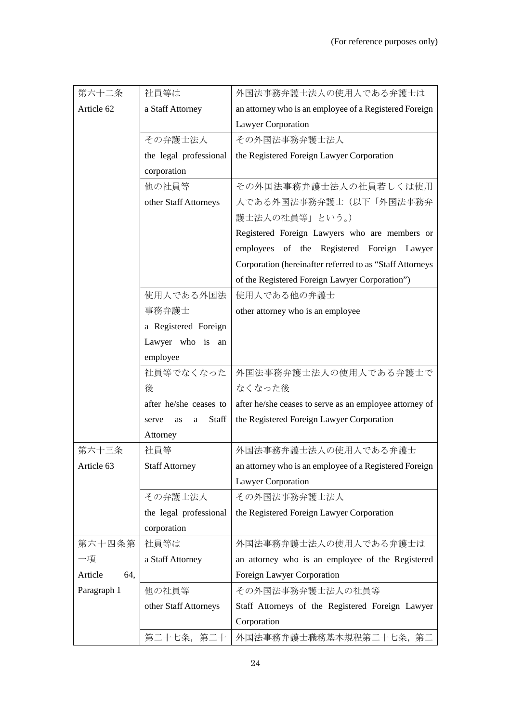| 第六十二条          | 社員等は                             | 外国法事務弁護士法人の使用人である弁護士は                                    |
|----------------|----------------------------------|----------------------------------------------------------|
| Article 62     | a Staff Attorney                 | an attorney who is an employee of a Registered Foreign   |
|                |                                  | Lawyer Corporation                                       |
|                | その弁護士法人                          | その外国法事務弁護士法人                                             |
|                | the legal professional           | the Registered Foreign Lawyer Corporation                |
|                | corporation                      |                                                          |
|                | 他の社員等                            | その外国法事務弁護士法人の社員若しくは使用                                    |
|                | other Staff Attorneys            | 人である外国法事務弁護士(以下「外国法事務弁                                   |
|                |                                  | 護士法人の社員等」という。)                                           |
|                |                                  | Registered Foreign Lawyers who are members or            |
|                |                                  | employees of the Registered Foreign Lawyer               |
|                |                                  | Corporation (hereinafter referred to as "Staff Attorneys |
|                |                                  | of the Registered Foreign Lawyer Corporation")           |
|                | 使用人である外国法                        | 使用人である他の弁護士                                              |
|                | 事務弁護士                            | other attorney who is an employee                        |
|                | a Registered Foreign             |                                                          |
|                | Lawyer who is an                 |                                                          |
|                | employee                         |                                                          |
|                | 社員等でなくなった                        | 外国法事務弁護士法人の使用人である弁護士で                                    |
|                | 後                                | なくなった後                                                   |
|                | after he/she ceases to           | after he/she ceases to serve as an employee attorney of  |
|                | Staff<br>serve<br><b>as</b><br>a | the Registered Foreign Lawyer Corporation                |
|                | Attorney                         |                                                          |
| 第六十三条          | 社員等                              | 外国法事務弁護士法人の使用人である弁護士                                     |
| Article 63     | <b>Staff Attorney</b>            | an attorney who is an employee of a Registered Foreign   |
|                |                                  | Lawyer Corporation                                       |
|                | その弁護士法人                          | その外国法事務弁護士法人                                             |
|                | the legal professional           | the Registered Foreign Lawyer Corporation                |
|                | corporation                      |                                                          |
| 第六十四条第         | 社員等は                             | 外国法事務弁護士法人の使用人である弁護士は                                    |
| 一項             | a Staff Attorney                 | an attorney who is an employee of the Registered         |
| Article<br>64, |                                  | Foreign Lawyer Corporation                               |
| Paragraph 1    | 他の社員等                            | その外国法事務弁護士法人の社員等                                         |
|                | other Staff Attorneys            | Staff Attorneys of the Registered Foreign Lawyer         |
|                |                                  | Corporation                                              |
|                | 第二十七条, 第二十                       | 外国法事務弁護士職務基本規程第二十七条, 第二                                  |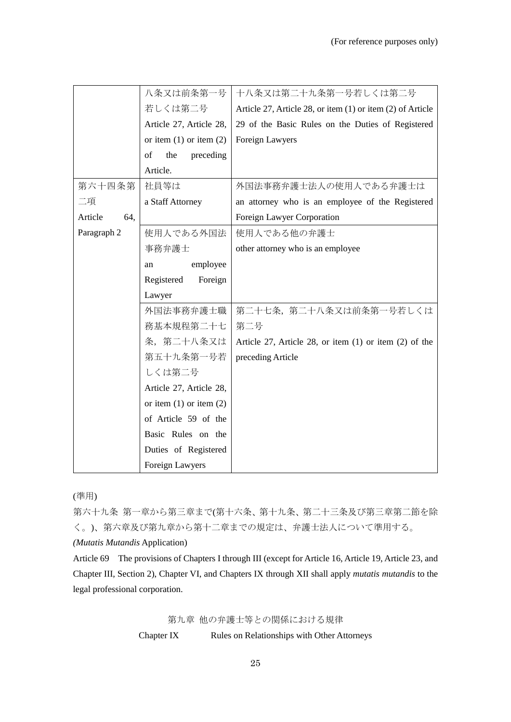|                | 八条又は前条第一号                   | 十八条又は第二十九条第一号若しくは第二号                                             |
|----------------|-----------------------------|------------------------------------------------------------------|
|                | 若しくは第二号                     | Article 27, Article 28, or item (1) or item (2) of Article       |
|                | Article 27, Article 28,     | 29 of the Basic Rules on the Duties of Registered                |
|                | or item $(1)$ or item $(2)$ | Foreign Lawyers                                                  |
|                | preceding<br>of<br>the      |                                                                  |
|                | Article.                    |                                                                  |
| 第六十四条第         | 社員等は                        | 外国法事務弁護士法人の使用人である弁護士は                                            |
| 二項             | a Staff Attorney            | an attorney who is an employee of the Registered                 |
| Article<br>64, |                             | Foreign Lawyer Corporation                                       |
| Paragraph 2    | 使用人である外国法                   | 使用人である他の弁護士                                                      |
|                | 事務弁護士                       | other attorney who is an employee                                |
|                | employee<br>an              |                                                                  |
|                | Registered<br>Foreign       |                                                                  |
|                | Lawyer                      |                                                                  |
|                | 外国法事務弁護士職                   | 第二十七条, 第二十八条又は前条第一号若しくは                                          |
|                | 務基本規程第二十七                   | 第二号                                                              |
|                | 条, 第二十八条又は                  | Article $27$ , Article $28$ , or item $(1)$ or item $(2)$ of the |
|                | 第五十九条第一号若                   | preceding Article                                                |
|                | しくは第二号                      |                                                                  |
|                | Article 27, Article 28,     |                                                                  |
|                | or item $(1)$ or item $(2)$ |                                                                  |
|                | of Article 59 of the        |                                                                  |
|                | Basic Rules on the          |                                                                  |
|                | Duties of Registered        |                                                                  |
|                | Foreign Lawyers             |                                                                  |

(準用)

第六十九条 第一章から第三章まで(第十六条、第十九条、第二十三条及び第三章第二節を除 く。)、第六章及び第九章から第十二章までの規定は、弁護士法人について準用する。

*(Mutatis Mutandis* Application)

Article 69 The provisions of Chapters I through III (except for Article 16, Article 19, Article 23, and Chapter III, Section 2), Chapter VI, and Chapters IX through XII shall apply *mutatis mutandis* to the legal professional corporation.

> 第九章 他の弁護士等との関係における規律 Chapter IX Rules on Relationships with Other Attorneys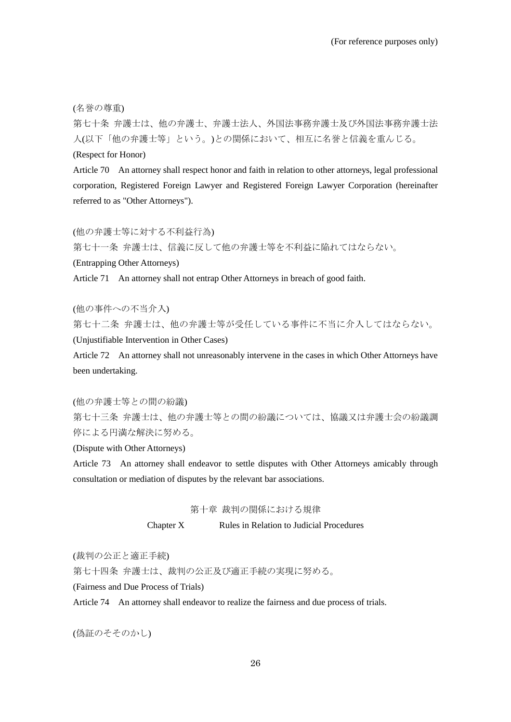(名誉の尊重)

第七十条 弁護士は、他の弁護士、弁護士法人、外国法事務弁護士及び外国法事務弁護士法 人(以下「他の弁護士等」という。)との関係において、相互に名誉と信義を重んじる。 (Respect for Honor)

Article 70 An attorney shall respect honor and faith in relation to other attorneys, legal professional corporation, Registered Foreign Lawyer and Registered Foreign Lawyer Corporation (hereinafter referred to as "Other Attorneys").

(他の弁護士等に対する不利益行為)

第七十一条 弁護士は、信義に反して他の弁護士等を不利益に陥れてはならない。 (Entrapping Other Attorneys)

Article 71 An attorney shall not entrap Other Attorneys in breach of good faith.

(他の事件への不当介入)

第七十二条 弁護士は、他の弁護士等が受任している事件に不当に介入してはならない。 (Unjustifiable Intervention in Other Cases)

Article 72 An attorney shall not unreasonably intervene in the cases in which Other Attorneys have been undertaking.

(他の弁護士等との間の紛議)

第七十三条 弁護士は、他の弁護士等との間の紛議については、協議又は弁護士会の紛議調 停による円満な解決に努める。

(Dispute with Other Attorneys)

Article 73 An attorney shall endeavor to settle disputes with Other Attorneys amicably through consultation or mediation of disputes by the relevant bar associations.

第十章 裁判の関係における規律

Chapter X Rules in Relation to Judicial Procedures

(裁判の公正と適正手続)

第七十四条 弁護士は、裁判の公正及び適正手続の実現に努める。

(Fairness and Due Process of Trials)

Article 74 An attorney shall endeavor to realize the fairness and due process of trials.

(偽証のそそのかし)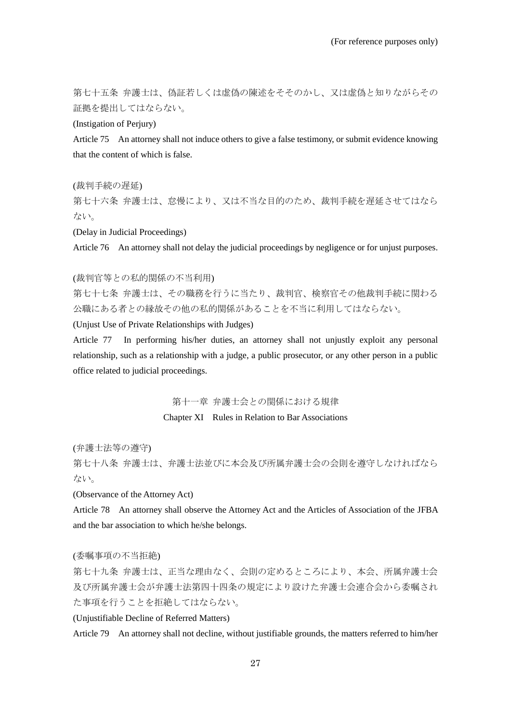第七十五条 弁護士は、偽証若しくは虚偽の陳述をそそのかし、又は虚偽と知りながらその 証拠を提出してはならない。

(Instigation of Perjury)

Article 75 An attorney shall not induce others to give a false testimony, or submit evidence knowing that the content of which is false.

(裁判手続の遅延)

第七十六条 弁護士は、怠慢により、又は不当な目的のため、裁判手続を遅延させてはなら ない。

(Delay in Judicial Proceedings)

Article 76 An attorney shall not delay the judicial proceedings by negligence or for unjust purposes.

## (裁判官等との私的関係の不当利用)

第七十七条 弁護士は、その職務を行うに当たり、裁判官、検察官その他裁判手続に関わる 公職にある者との縁故その他の私的関係があることを不当に利用してはならない。

(Unjust Use of Private Relationships with Judges)

Article 77 In performing his/her duties, an attorney shall not unjustly exploit any personal relationship, such as a relationship with a judge, a public prosecutor, or any other person in a public office related to judicial proceedings.

第十一章 弁護士会との関係における規律

Chapter XI Rules in Relation to Bar Associations

(弁護士法等の遵守)

第七十八条 弁護士は、弁護士法並びに本会及び所属弁護士会の会則を遵守しなければなら ない。

(Observance of the Attorney Act)

Article 78 An attorney shall observe the Attorney Act and the Articles of Association of the JFBA and the bar association to which he/she belongs.

(委嘱事項の不当拒絶)

第七十九条 弁護士は、正当な理由なく、会則の定めるところにより、本会、所属弁護士会 及び所属弁護士会が弁護士法第四十四条の規定により設けた弁護士会連合会から委嘱され た事項を行うことを拒絶してはならない。

(Unjustifiable Decline of Referred Matters)

Article 79 An attorney shall not decline, without justifiable grounds, the matters referred to him/her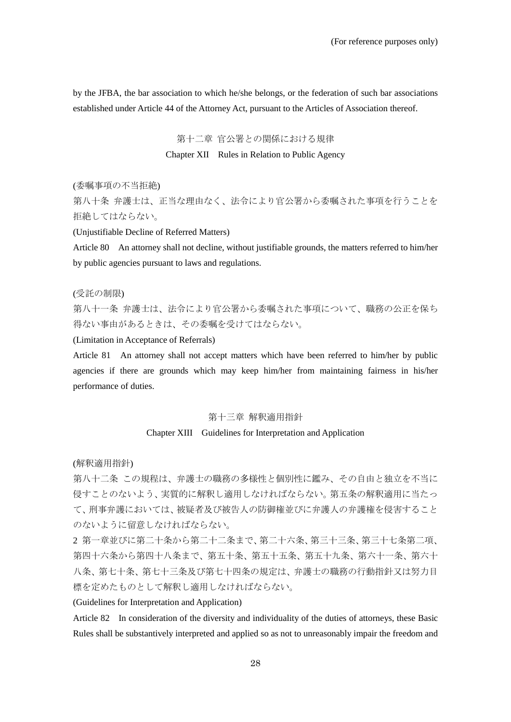by the JFBA, the bar association to which he/she belongs, or the federation of such bar associations established under Article 44 of the Attorney Act, pursuant to the Articles of Association thereof.

> 第十二章 官公署との関係における規律 Chapter XII Rules in Relation to Public Agency

(委嘱事項の不当拒絶)

第八十条 弁護士は、正当な理由なく、法令により官公署から委嘱された事項を行うことを 拒絶してはならない。

(Unjustifiable Decline of Referred Matters)

Article 80 An attorney shall not decline, without justifiable grounds, the matters referred to him/her by public agencies pursuant to laws and regulations.

#### (受託の制限)

第八十一条 弁護士は、法令により官公署から委嘱された事項について、職務の公正を保ち 得ない事由があるときは、その委嘱を受けてはならない。

(Limitation in Acceptance of Referrals)

Article 81 An attorney shall not accept matters which have been referred to him/her by public agencies if there are grounds which may keep him/her from maintaining fairness in his/her performance of duties.

# 第十三章 解釈適用指針

## Chapter XIII Guidelines for Interpretation and Application

# (解釈適用指針)

第八十二条 この規程は、弁護士の職務の多様性と個別性に鑑み、その自由と独立を不当に 侵すことのないよう、実質的に解釈し適用しなければならない。第五条の解釈適用に当たっ て、刑事弁護においては、被疑者及び被告人の防御権並びに弁護人の弁護権を侵害すること のないように留意しなければならない。

2 第一章並びに第二十条から第二十二条まで、第二十六条、第三十三条、第三十七条第二項、 第四十六条から第四十八条まで、第五十条、第五十五条、第五十九条、第六十一条、第六十 八条、第七十条、第七十三条及び第七十四条の規定は、弁護士の職務の行動指針又は努力目 標を定めたものとして解釈し適用しなければならない。

(Guidelines for Interpretation and Application)

Article 82 In consideration of the diversity and individuality of the duties of attorneys, these Basic Rules shall be substantively interpreted and applied so as not to unreasonably impair the freedom and